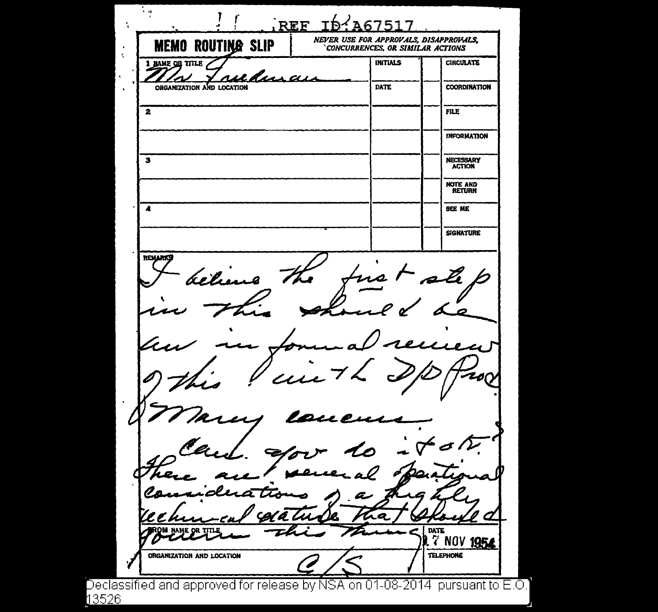$\overline{\mathbb{F}_q}$  $\mathbf{r}$ ,  $\mathbf{r}$ REF ID A6751 ÷, *NEYER USE FOR APPROYALS, DISAPPRONLS.*  **MEMO ROUTING SLIP** *'CONCURRENCES, OR. SlllflLAR .ACTIONS*  INITIALS 1 NAME OR TITLE **CIRCULATE** <u>rulans</u> ORGANIZATION AND LOCATION DATE COORDINATION  $\overline{\mathbf{z}}$ FILE INFORMATION 3 NECESSARY ACflON NOTE AND RETURN . 4 SEE ME **SIGNATURE REMARKS** believ rs 1 DATE 7 NOV 1954 **TELEPHONE** ORGANIZATION AND LOCATION eclassified and approved for release by NSA on 01-08-2014 pursuant to E.O. 3526